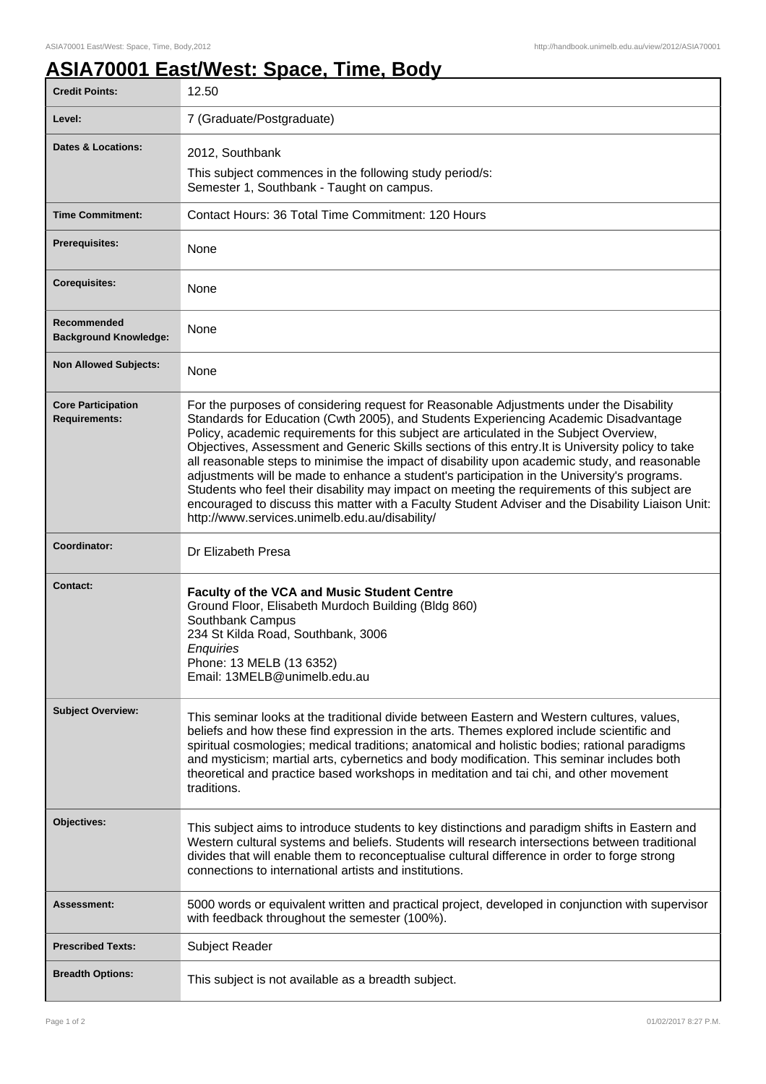## **ASIA70001 East/West: Space, Time, Body**

| <b>Credit Points:</b>                             | 12.50                                                                                                                                                                                                                                                                                                                                                                                                                                                                                                                                                                                                                                                                                                                                                                                                                                   |
|---------------------------------------------------|-----------------------------------------------------------------------------------------------------------------------------------------------------------------------------------------------------------------------------------------------------------------------------------------------------------------------------------------------------------------------------------------------------------------------------------------------------------------------------------------------------------------------------------------------------------------------------------------------------------------------------------------------------------------------------------------------------------------------------------------------------------------------------------------------------------------------------------------|
| Level:                                            | 7 (Graduate/Postgraduate)                                                                                                                                                                                                                                                                                                                                                                                                                                                                                                                                                                                                                                                                                                                                                                                                               |
| <b>Dates &amp; Locations:</b>                     | 2012, Southbank                                                                                                                                                                                                                                                                                                                                                                                                                                                                                                                                                                                                                                                                                                                                                                                                                         |
|                                                   | This subject commences in the following study period/s:<br>Semester 1, Southbank - Taught on campus.                                                                                                                                                                                                                                                                                                                                                                                                                                                                                                                                                                                                                                                                                                                                    |
| <b>Time Commitment:</b>                           | Contact Hours: 36 Total Time Commitment: 120 Hours                                                                                                                                                                                                                                                                                                                                                                                                                                                                                                                                                                                                                                                                                                                                                                                      |
| <b>Prerequisites:</b>                             | None                                                                                                                                                                                                                                                                                                                                                                                                                                                                                                                                                                                                                                                                                                                                                                                                                                    |
| <b>Corequisites:</b>                              | None                                                                                                                                                                                                                                                                                                                                                                                                                                                                                                                                                                                                                                                                                                                                                                                                                                    |
| Recommended<br><b>Background Knowledge:</b>       | None                                                                                                                                                                                                                                                                                                                                                                                                                                                                                                                                                                                                                                                                                                                                                                                                                                    |
| <b>Non Allowed Subjects:</b>                      | None                                                                                                                                                                                                                                                                                                                                                                                                                                                                                                                                                                                                                                                                                                                                                                                                                                    |
| <b>Core Participation</b><br><b>Requirements:</b> | For the purposes of considering request for Reasonable Adjustments under the Disability<br>Standards for Education (Cwth 2005), and Students Experiencing Academic Disadvantage<br>Policy, academic requirements for this subject are articulated in the Subject Overview,<br>Objectives, Assessment and Generic Skills sections of this entry. It is University policy to take<br>all reasonable steps to minimise the impact of disability upon academic study, and reasonable<br>adjustments will be made to enhance a student's participation in the University's programs.<br>Students who feel their disability may impact on meeting the requirements of this subject are<br>encouraged to discuss this matter with a Faculty Student Adviser and the Disability Liaison Unit:<br>http://www.services.unimelb.edu.au/disability/ |
| Coordinator:                                      | Dr Elizabeth Presa                                                                                                                                                                                                                                                                                                                                                                                                                                                                                                                                                                                                                                                                                                                                                                                                                      |
| <b>Contact:</b>                                   | <b>Faculty of the VCA and Music Student Centre</b><br>Ground Floor, Elisabeth Murdoch Building (Bldg 860)<br>Southbank Campus<br>234 St Kilda Road, Southbank, 3006<br>Enquiries<br>Phone: 13 MELB (13 6352)<br>Email: 13MELB@unimelb.edu.au                                                                                                                                                                                                                                                                                                                                                                                                                                                                                                                                                                                            |
| <b>Subject Overview:</b>                          | This seminar looks at the traditional divide between Eastern and Western cultures, values,<br>beliefs and how these find expression in the arts. Themes explored include scientific and<br>spiritual cosmologies; medical traditions; anatomical and holistic bodies; rational paradigms<br>and mysticism; martial arts, cybernetics and body modification. This seminar includes both<br>theoretical and practice based workshops in meditation and tai chi, and other movement<br>traditions.                                                                                                                                                                                                                                                                                                                                         |
| Objectives:                                       | This subject aims to introduce students to key distinctions and paradigm shifts in Eastern and<br>Western cultural systems and beliefs. Students will research intersections between traditional<br>divides that will enable them to reconceptualise cultural difference in order to forge strong<br>connections to international artists and institutions.                                                                                                                                                                                                                                                                                                                                                                                                                                                                             |
| Assessment:                                       | 5000 words or equivalent written and practical project, developed in conjunction with supervisor<br>with feedback throughout the semester (100%).                                                                                                                                                                                                                                                                                                                                                                                                                                                                                                                                                                                                                                                                                       |
| <b>Prescribed Texts:</b>                          | Subject Reader                                                                                                                                                                                                                                                                                                                                                                                                                                                                                                                                                                                                                                                                                                                                                                                                                          |
| <b>Breadth Options:</b>                           | This subject is not available as a breadth subject.                                                                                                                                                                                                                                                                                                                                                                                                                                                                                                                                                                                                                                                                                                                                                                                     |